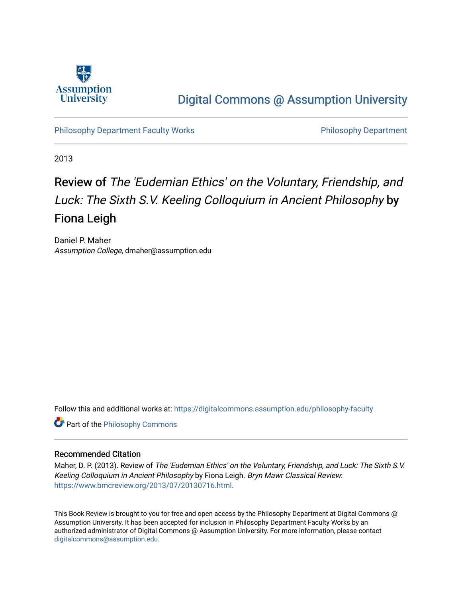

## [Digital Commons @ Assumption University](https://digitalcommons.assumption.edu/)

[Philosophy Department Faculty Works](https://digitalcommons.assumption.edu/philosophy-faculty) **Philosophy Department** Philosophy Department

2013

# Review of The 'Eudemian Ethics' on the Voluntary, Friendship, and Luck: The Sixth S.V. Keeling Colloquium in Ancient Philosophy by Fiona Leigh

Daniel P. Maher Assumption College, dmaher@assumption.edu

Follow this and additional works at: [https://digitalcommons.assumption.edu/philosophy-faculty](https://digitalcommons.assumption.edu/philosophy-faculty?utm_source=digitalcommons.assumption.edu%2Fphilosophy-faculty%2F20&utm_medium=PDF&utm_campaign=PDFCoverPages) 

**Part of the Philosophy Commons** 

### Recommended Citation

Maher, D. P. (2013). Review of The 'Eudemian Ethics' on the Voluntary, Friendship, and Luck: The Sixth S.V. Keeling Colloquium in Ancient Philosophy by Fiona Leigh. Bryn Mawr Classical Review: <https://www.bmcreview.org/2013/07/20130716.html>.

This Book Review is brought to you for free and open access by the Philosophy Department at Digital Commons @ Assumption University. It has been accepted for inclusion in Philosophy Department Faculty Works by an authorized administrator of Digital Commons @ Assumption University. For more information, please contact [digitalcommons@assumption.edu](mailto:digitalcommons@assumption.edu).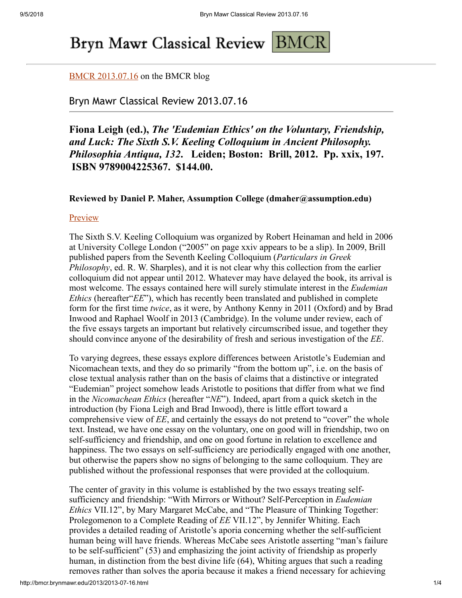# Bryn Mawr Classical Review BMCR

## [BMCR 2013.07.16](http://www.bmcreview.org/2013/07/20130716.html) on the BMCR blog

## Bryn Mawr Classical Review 2013.07.16

## **Fiona Leigh (ed.),** *The 'Eudemian Ethics' on the Voluntary, Friendship, and Luck: The Sixth S.V. Keeling Colloquium in Ancient Philosophy. Philosophia Antiqua, 132***. Leiden; Boston: Brill, 2012. Pp. xxix, 197. ISBN 9789004225367. \$144.00.**

## **Reviewed by Daniel P. Maher, Assumption College (dmaher@assumption.edu)**

## **[Preview](http://books.google.com/books?id=XgHY1yq-WyIC)**

The Sixth S.V. Keeling Colloquium was organized by Robert Heinaman and held in 2006 at University College London ("2005" on page xxiv appears to be a slip). In 2009, Brill published papers from the Seventh Keeling Colloquium (*Particulars in Greek Philosophy*, ed. R. W. Sharples), and it is not clear why this collection from the earlier colloquium did not appear until 2012. Whatever may have delayed the book, its arrival is most welcome. The essays contained here will surely stimulate interest in the *Eudemian Ethics* (hereafter *EE*"), which has recently been translated and published in complete form for the first time *twice*, as it were, by Anthony Kenny in 2011 (Oxford) and by Brad Inwood and Raphael Woolf in 2013 (Cambridge). In the volume under review, each of the five essays targets an important but relatively circumscribed issue, and together they should convince anyone of the desirability of fresh and serious investigation of the *EE*.

To varying degrees, these essays explore differences between Aristotle's Eudemian and Nicomachean texts, and they do so primarily "from the bottom up", i.e. on the basis of close textual analysis rather than on the basis of claims that a distinctive or integrated "Eudemian" project somehow leads Aristotle to positions that differ from what we find in the *Nicomachean Ethics* (hereafter "*NE*"). Indeed, apart from a quick sketch in the introduction (by Fiona Leigh and Brad Inwood), there is little effort toward a comprehensive view of *EE*, and certainly the essays do not pretend to "cover" the whole text. Instead, we have one essay on the voluntary, one on good will in friendship, two on self-sufficiency and friendship, and one on good fortune in relation to excellence and happiness. The two essays on self-sufficiency are periodically engaged with one another, but otherwise the papers show no signs of belonging to the same colloquium. They are published without the professional responses that were provided at the colloquium.

The center of gravity in this volume is established by the two essays treating selfsufficiency and friendship: "With Mirrors or Without? Self-Perception in *Eudemian Ethics* VII.12", by Mary Margaret McCabe, and "The Pleasure of Thinking Together: Prolegomenon to a Complete Reading of *EE* VII.12", by Jennifer Whiting. Each provides a detailed reading of Aristotle's aporia concerning whether the self-sufficient human being will have friends. Whereas McCabe sees Aristotle asserting "man's failure to be self-sufficient" (53) and emphasizing the joint activity of friendship as properly human, in distinction from the best divine life (64), Whiting argues that such a reading removes rather than solves the aporia because it makes a friend necessary for achieving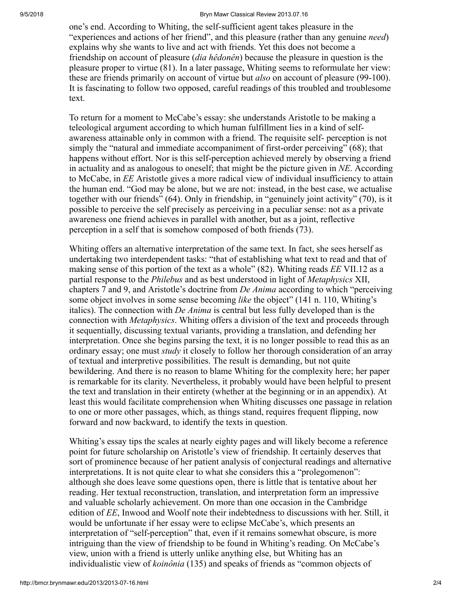#### 9/5/2018 Bryn Mawr Classical Review 2013.07.16

one's end. According to Whiting, the self-sufficient agent takes pleasure in the "experiences and actions of her friend", and this pleasure (rather than any genuine *need*) explains why she wants to live and act with friends. Yet this does not become a friendship on account of pleasure (*dia hêdonên*) because the pleasure in question is the pleasure proper to virtue (81). In a later passage, Whiting seems to reformulate her view: these are friends primarily on account of virtue but *also* on account of pleasure (99-100). It is fascinating to follow two opposed, careful readings of this troubled and troublesome text.

To return for a moment to McCabe's essay: she understands Aristotle to be making a teleological argument according to which human fulfillment lies in a kind of selfawareness attainable only in common with a friend. The requisite self- perception is not simply the "natural and immediate accompaniment of first-order perceiving" (68); that happens without effort. Nor is this self-perception achieved merely by observing a friend in actuality and as analogous to oneself; that might be the picture given in *NE*. According to McCabe, in *EE* Aristotle gives a more radical view of individual insufficiency to attain the human end. "God may be alone, but we are not: instead, in the best case, we actualise together with our friends" (64). Only in friendship, in "genuinely joint activity" (70), is it possible to perceive the self precisely as perceiving in a peculiar sense: not as a private awareness one friend achieves in parallel with another, but as a joint, reflective perception in a self that is somehow composed of both friends (73).

Whiting offers an alternative interpretation of the same text. In fact, she sees herself as undertaking two interdependent tasks: "that of establishing what text to read and that of making sense of this portion of the text as a whole" (82). Whiting reads *EE* VII.12 as a partial response to the *Philebus* and as best understood in light of *Metaphysics* XII, chapters 7 and 9, and Aristotle's doctrine from *De Anima* according to which "perceiving some object involves in some sense becoming *like* the object" (141 n. 110, Whiting's italics). The connection with *De Anima* is central but less fully developed than is the connection with *Metaphysics*. Whiting offers a division of the text and proceeds through it sequentially, discussing textual variants, providing a translation, and defending her interpretation. Once she begins parsing the text, it is no longer possible to read this as an ordinary essay; one must *study* it closely to follow her thorough consideration of an array of textual and interpretive possibilities. The result is demanding, but not quite bewildering. And there is no reason to blame Whiting for the complexity here; her paper is remarkable for its clarity. Nevertheless, it probably would have been helpful to present the text and translation in their entirety (whether at the beginning or in an appendix). At least this would facilitate comprehension when Whiting discusses one passage in relation to one or more other passages, which, as things stand, requires frequent flipping, now forward and now backward, to identify the texts in question.

Whiting's essay tips the scales at nearly eighty pages and will likely become a reference point for future scholarship on Aristotle's view of friendship. It certainly deserves that sort of prominence because of her patient analysis of conjectural readings and alternative interpretations. It is not quite clear to what she considers this a "prolegomenon": although she does leave some questions open, there is little that is tentative about her reading. Her textual reconstruction, translation, and interpretation form an impressive and valuable scholarly achievement. On more than one occasion in the Cambridge edition of *EE*, Inwood and Woolf note their indebtedness to discussions with her. Still, it would be unfortunate if her essay were to eclipse McCabe's, which presents an interpretation of "self-perception" that, even if it remains somewhat obscure, is more intriguing than the view of friendship to be found in Whiting's reading. On McCabe's view, union with a friend is utterly unlike anything else, but Whiting has an individualistic view of *koinônia* (135) and speaks of friends as "common objects of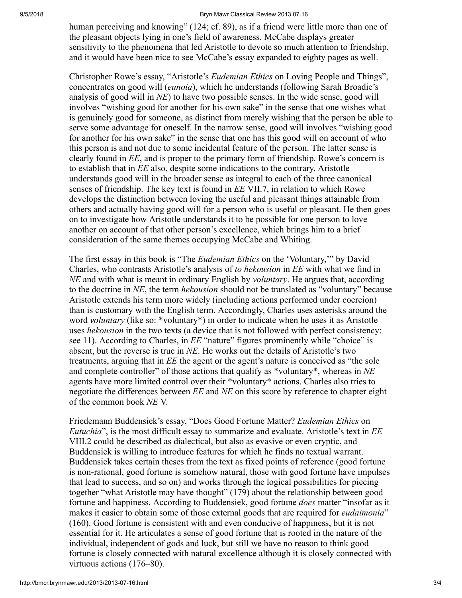#### 9/5/2018 Bryn Mawr Classical Review 2013.07.16

human perceiving and knowing" (124; cf. 89), as if a friend were little more than one of the pleasant objects lying in one's field of awareness. McCabe displays greater sensitivity to the phenomena that led Aristotle to devote so much attention to friendship, and it would have been nice to see McCabe's essay expanded to eighty pages as well.

Christopher Rowe's essay, "Aristotle's *Eudemian Ethics* on Loving People and Things", concentrates on good will (*eunoia*), which he understands (following Sarah Broadie's analysis of good will in *NE*) to have two possible senses. In the wide sense, good will involves "wishing good for another for his own sake" in the sense that one wishes what is genuinely good for someone, as distinct from merely wishing that the person be able to serve some advantage for oneself. In the narrow sense, good will involves "wishing good for another for his own sake" in the sense that one has this good will on account of who this person is and not due to some incidental feature of the person. The latter sense is clearly found in *EE*, and is proper to the primary form of friendship. Rowe's concern is to establish that in *EE* also, despite some indications to the contrary, Aristotle understands good will in the broader sense as integral to each of the three canonical senses of friendship. The key text is found in *EE* VII.7, in relation to which Rowe develops the distinction between loving the useful and pleasant things attainable from others and actually having good will for a person who is useful or pleasant. He then goes on to investigate how Aristotle understands it to be possible for one person to love another on account of that other person's excellence, which brings him to a brief consideration of the same themes occupying McCabe and Whiting.

The first essay in this book is "The *Eudemian Ethics* on the 'Voluntary,'" by David Charles, who contrasts Aristotle's analysis of *to hekousion* in *EE* with what we find in *NE* and with what is meant in ordinary English by *voluntary*. He argues that, according to the doctrine in *NE*, the term *hekousion* should not be translated as "voluntary" because Aristotle extends his term more widely (including actions performed under coercion) than is customary with the English term. Accordingly, Charles uses asterisks around the word *voluntary* (like so: \*voluntary\*) in order to indicate when he uses it as Aristotle uses *hekousion* in the two texts (a device that is not followed with perfect consistency: see 11). According to Charles, in *EE* "nature" figures prominently while "choice" is absent, but the reverse is true in *NE*. He works out the details of Aristotle's two treatments, arguing that in *EE* the agent or the agent's nature is conceived as "the sole and complete controller" of those actions that qualify as \*voluntary\*, whereas in *NE* agents have more limited control over their \*voluntary\* actions. Charles also tries to negotiate the differences between *EE* and *NE* on this score by reference to chapter eight of the common book *NE* V.

Friedemann Buddensiek's essay, "Does Good Fortune Matter? *Eudemian Ethics* on *Eutuchia*", is the most difficult essay to summarize and evaluate. Aristotle's text in *EE* VIII.2 could be described as dialectical, but also as evasive or even cryptic, and Buddensiek is willing to introduce features for which he finds no textual warrant. Buddensiek takes certain theses from the text as fixed points of reference (good fortune is non-rational, good fortune is somehow natural, those with good fortune have impulses that lead to success, and so on) and works through the logical possibilities for piecing together "what Aristotle may have thought" (179) about the relationship between good fortune and happiness. According to Buddensiek, good fortune *does* matter "insofar as it makes it easier to obtain some of those external goods that are required for *eudaimonia*" (160). Good fortune is consistent with and even conducive of happiness, but it is not essential for it. He articulates a sense of good fortune that is rooted in the nature of the individual, independent of gods and luck, but still we have no reason to think good fortune is closely connected with natural excellence although it is closely connected with virtuous actions (176–80).